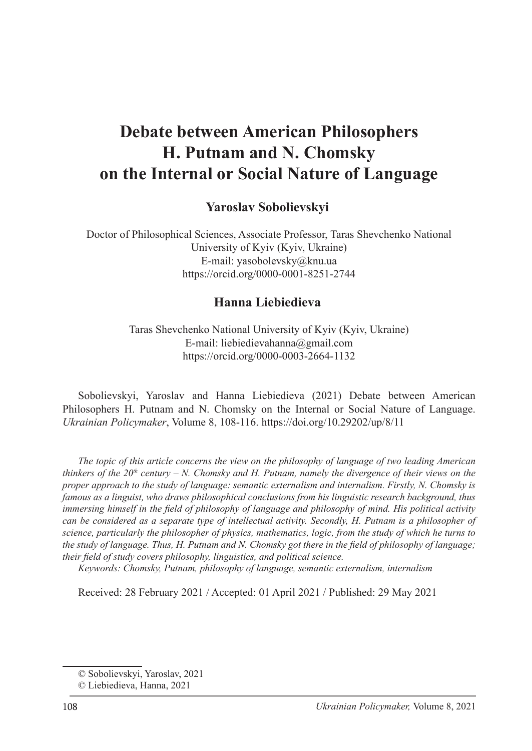# **Debate between American Philosophers H. Putnam and N. Chomsky on the Internal or Social Nature of Language**

### **Yaroslav Sobolievskyi**<sup>1</sup>

Doctor of Philosophical Sciences, Associate Professor, Taras Shevchenko National University of Kyiv (Kyiv, Ukraine) E-mail: yasobolevsky@knu.ua https://orcid.org/0000-0001-8251-2744

#### **Hanna Liebiedieva**<sup>2</sup>

Taras Shevchenko National University of Kyiv (Kyiv, Ukraine) E-mail: liebiedievahanna@gmail.com https://orcid.org/0000-0003-2664-1132

Sobolievskyi, Yaroslav and Hanna Liebiedieva (2021) Debate between American Philosophers H. Putnam and N. Chomsky on the Internal or Social Nature of Language. *Ukrainian Policymaker*, Volume 8, 108-116. https://doi.org/10.29202/up/8/11

*The topic of this article concerns the view on the philosophy of language of two leading American thinkers of the*  $20<sup>th</sup>$  *century – N. Chomsky and H. Putnam, namely the divergence of their views on the proper approach to the study of language: semantic externalism and internalism. Firstly, N. Chomsky is famous as a linguist, who draws philosophical conclusions from his linguistic research background, thus immersing himself in the field of philosophy of language and philosophy of mind. His political activity can be considered as a separate type of intellectual activity. Secondly, H. Putnam is a philosopher of science, particularly the philosopher of physics, mathematics, logic, from the study of which he turns to the study of language. Thus, H. Putnam and N. Chomsky got there in the field of philosophy of language; their field of study covers philosophy, linguistics, and political science.*

*Keywords: Chomsky, Putnam, philosophy of language, semantic externalism, internalism*

Received: 28 February 2021 / Accepted: 01 April 2021 / Published: 29 May 2021

<sup>©</sup> Sobolievskyi, Yaroslav, 2021

<sup>©</sup> Liebiedieva, Hanna, 2021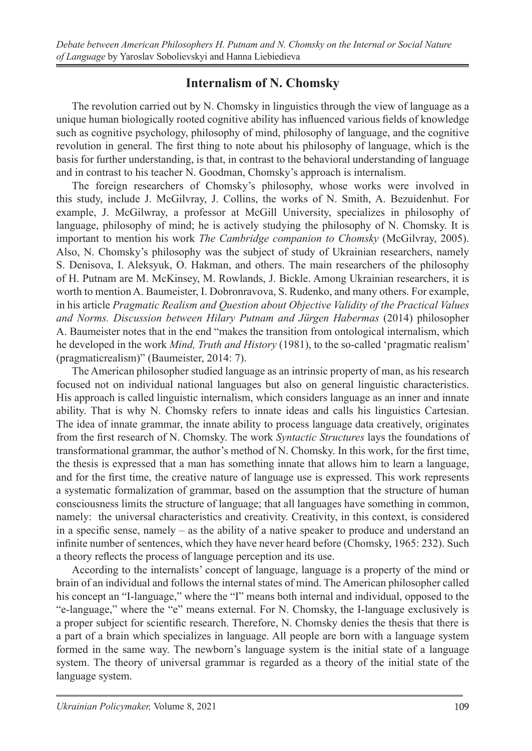# **Internalism of N. Chomsky**

The revolution carried out by N. Chomsky in linguistics through the view of language as a unique human biologically rooted cognitive ability has influenced various fields of knowledge such as cognitive psychology, philosophy of mind, philosophy of language, and the cognitive revolution in general. The first thing to note about his philosophy of language, which is the basis for further understanding, is that, in contrast to the behavioral understanding of language and in contrast to his teacher N. Goodman, Chomsky's approach is internalism.

The foreign researchers of Chomsky's philosophy, whose works were involved in this study, include J. McGilvray, J. Collins, the works of N. Smith, A. Bezuidenhut. For example, J. McGilwray, a professor at McGill University, specializes in philosophy of language, philosophy of mind; he is actively studying the philosophy of N. Chomsky. It is important to mention his work *The Cambridge companion to Chomsky* (McGilvray, 2005). Also, N. Chomsky's philosophy was the subject of study of Ukrainian researchers, namely S. Denisova, I. Aleksyuk, O. Hakman, and others. The main researchers of the philosophy of H. Putnam are M. McKinsey, M. Rowlands, J. Bickle. Among Ukrainian researchers, it is worth to mention A. Baumeister, I. Dobronravova, S. Rudenko, and many others. For example, in his article *Pragmatic Realism and Question about Objective Validity of the Practical Values and Norms. Discussion between Hilary Putnam and Jürgen Habermas* (2014) philosopher A. Baumeister notes that in the end "makes the transition from ontological internalism, which he developed in the work *Mind, Truth and History* (1981), to the so-called 'pragmatic realism' (pragmaticrealism)" (Baumeister, 2014: 7).

The American philosopher studied language as an intrinsic property of man, as his research focused not on individual national languages but also on general linguistic characteristics. His approach is called linguistic internalism, which considers language as an inner and innate ability. That is why N. Chomsky refers to innate ideas and calls his linguistics Cartesian. The idea of innate grammar, the innate ability to process language data creatively, originates from the first research of N. Chomsky. The work *Syntactic Structures* lays the foundations of transformational grammar, the author's method of N. Chomsky. In this work, for the first time, the thesis is expressed that a man has something innate that allows him to learn a language, and for the first time, the creative nature of language use is expressed. This work represents a systematic formalization of grammar, based on the assumption that the structure of human consciousness limits the structure of language; that all languages have something in common, namely: the universal characteristics and creativity. Creativity, in this context, is considered in a specific sense, namely – as the ability of a native speaker to produce and understand an infinite number of sentences, which they have never heard before (Chomsky, 1965: 232). Such a theory reflects the process of language perception and its use.

According to the internalists' concept of language, language is a property of the mind or brain of an individual and follows the internal states of mind. The American philosopher called his concept an "I-language," where the "I" means both internal and individual, opposed to the "e-language," where the "e" means external. For N. Chomsky, the I-language exclusively is a proper subject for scientific research. Therefore, N. Chomsky denies the thesis that there is a part of a brain which specializes in language. All people are born with a language system formed in the same way. The newborn's language system is the initial state of a language system. The theory of universal grammar is regarded as a theory of the initial state of the language system.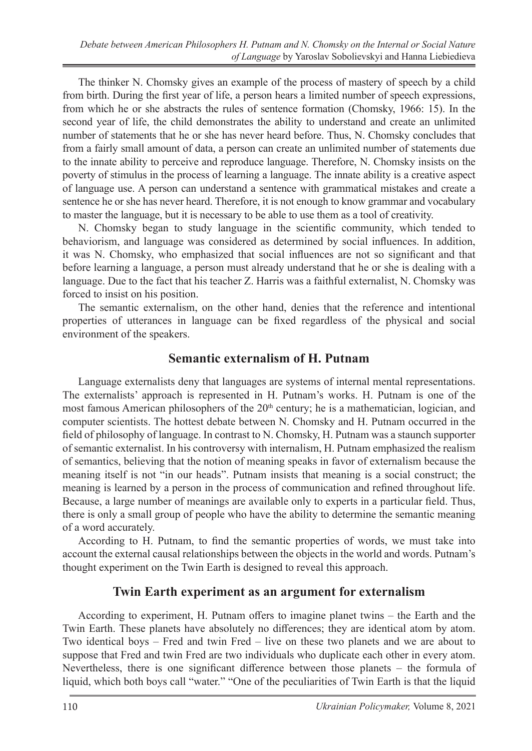The thinker N. Chomsky gives an example of the process of mastery of speech by a child from birth. During the first year of life, a person hears a limited number of speech expressions, from which he or she abstracts the rules of sentence formation (Chomsky, 1966: 15). In the second year of life, the child demonstrates the ability to understand and create an unlimited number of statements that he or she has never heard before. Thus, N. Chomsky concludes that from a fairly small amount of data, a person can create an unlimited number of statements due to the innate ability to perceive and reproduce language. Therefore, N. Chomsky insists on the poverty of stimulus in the process of learning a language. The innate ability is a creative aspect of language use. A person can understand a sentence with grammatical mistakes and create a sentence he or she has never heard. Therefore, it is not enough to know grammar and vocabulary to master the language, but it is necessary to be able to use them as a tool of creativity.

N. Chomsky began to study language in the scientific community, which tended to behaviorism, and language was considered as determined by social influences. In addition, it was N. Chomsky, who emphasized that social influences are not so significant and that before learning a language, a person must already understand that he or she is dealing with a language. Due to the fact that his teacher Z. Harris was a faithful externalist, N. Chomsky was forced to insist on his position.

The semantic externalism, on the other hand, denies that the reference and intentional properties of utterances in language can be fixed regardless of the physical and social environment of the speakers.

#### **Semantic externalism of H. Putnam**

Language externalists deny that languages are systems of internal mental representations. The externalists' approach is represented in H. Putnam's works. H. Putnam is one of the most famous American philosophers of the  $20<sup>th</sup>$  century; he is a mathematician, logician, and computer scientists. The hottest debate between N. Chomsky and H. Putnam occurred in the field of philosophy of language. In contrast to N. Chomsky, H. Putnam was a staunch supporter of semantic externalist. In his controversy with internalism, H. Putnam emphasized the realism of semantics, believing that the notion of meaning speaks in favor of externalism because the meaning itself is not "in our heads". Putnam insists that meaning is a social construct; the meaning is learned by a person in the process of communication and refined throughout life. Because, a large number of meanings are available only to experts in a particular field. Thus, there is only a small group of people who have the ability to determine the semantic meaning of a word accurately.

According to H. Putnam, to find the semantic properties of words, we must take into account the external causal relationships between the objects in the world and words. Putnam's thought experiment on the Twin Earth is designed to reveal this approach.

#### **Twin Earth experiment as an argument for externalism**

According to experiment, H. Putnam offers to imagine planet twins – the Earth and the Twin Earth. These planets have absolutely no differences; they are identical atom by atom. Two identical boys – Fred and twin Fred – live on these two planets and we are about to suppose that Fred and twin Fred are two individuals who duplicate each other in every atom. Nevertheless, there is one significant difference between those planets – the formula of liquid, which both boys call "water." "One of the peculiarities of Twin Earth is that the liquid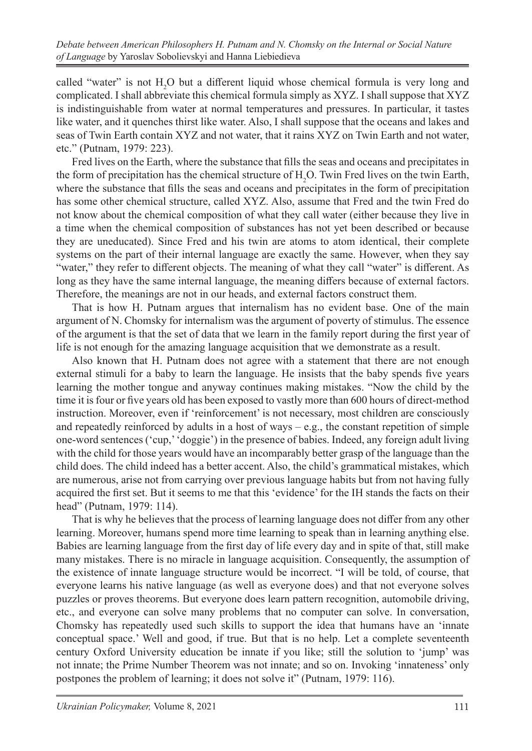called "water" is not  $H_2O$  but a different liquid whose chemical formula is very long and complicated. I shall abbreviate this chemical formula simply as XYZ. I shall suppose that XYZ is indistinguishable from water at normal temperatures and pressures. In particular, it tastes like water, and it quenches thirst like water. Also, I shall suppose that the oceans and lakes and seas of Twin Earth contain XYZ and not water, that it rains XYZ on Twin Earth and not water, etc." (Putnam, 1979: 223).

Fred lives on the Earth, where the substance that fills the seas and oceans and precipitates in the form of precipitation has the chemical structure of  $H_2O$ . Twin Fred lives on the twin Earth, where the substance that fills the seas and oceans and precipitates in the form of precipitation has some other chemical structure, called XYZ. Also, assume that Fred and the twin Fred do not know about the chemical composition of what they call water (either because they live in a time when the chemical composition of substances has not yet been described or because they are uneducated). Since Fred and his twin are atoms to atom identical, their complete systems on the part of their internal language are exactly the same. However, when they say "water," they refer to different objects. The meaning of what they call "water" is different. As long as they have the same internal language, the meaning differs because of external factors. Therefore, the meanings are not in our heads, and external factors construct them.

That is how H. Putnam argues that internalism has no evident base. One of the main argument of N. Chomsky for internalism was the argument of poverty of stimulus. The essence of the argument is that the set of data that we learn in the family report during the first year of life is not enough for the amazing language acquisition that we demonstrate as a result.

Also known that H. Putnam does not agree with a statement that there are not enough external stimuli for a baby to learn the language. He insists that the baby spends five years learning the mother tongue and anyway continues making mistakes. "Now the child by the time it is four or five years old has been exposed to vastly more than 600 hours of direct-method instruction. Moreover, even if 'reinforcement' is not necessary, most children are consciously and repeatedly reinforced by adults in a host of ways  $-e.g.,$  the constant repetition of simple one-word sentences ('cup,' 'doggie') in the presence of babies. Indeed, any foreign adult living with the child for those years would have an incomparably better grasp of the language than the child does. The child indeed has a better accent. Also, the child's grammatical mistakes, which are numerous, arise not from carrying over previous language habits but from not having fully acquired the first set. But it seems to me that this 'evidence' for the IH stands the facts on their head" (Putnam, 1979: 114).

That is why he believes that the process of learning language does not differ from any other learning. Moreover, humans spend more time learning to speak than in learning anything else. Babies are learning language from the first day of life every day and in spite of that, still make many mistakes. There is no miracle in language acquisition. Consequently, the assumption of the existence of innate language structure would be incorrect. "I will be told, of course, that everyone learns his native language (as well as everyone does) and that not everyone solves puzzles or proves theorems. But everyone does learn pattern recognition, automobile driving, etc., and everyone can solve many problems that no computer can solve. In conversation, Chomsky has repeatedly used such skills to support the idea that humans have an 'innate conceptual space.' Well and good, if true. But that is no help. Let a complete seventeenth century Oxford University education be innate if you like; still the solution to 'jump' was not innate; the Prime Number Theorem was not innate; and so on. Invoking 'innateness' only postpones the problem of learning; it does not solve it" (Putnam, 1979: 116).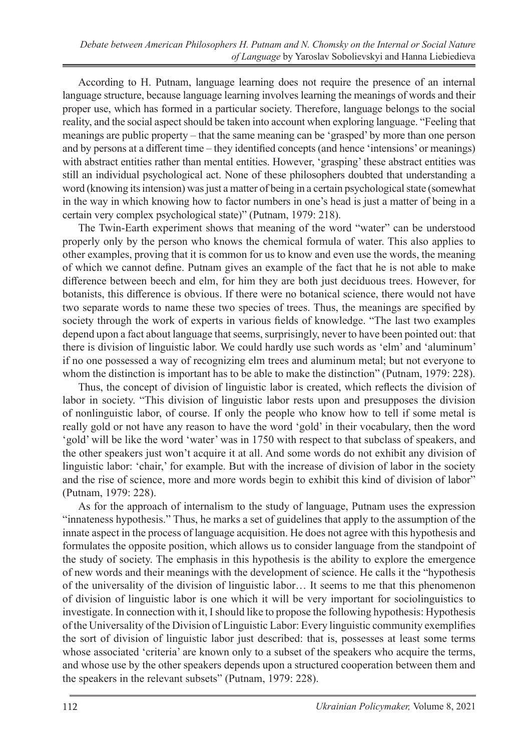According to H. Putnam, language learning does not require the presence of an internal language structure, because language learning involves learning the meanings of words and their proper use, which has formed in a particular society. Therefore, language belongs to the social reality, and the social aspect should be taken into account when exploring language. "Feeling that meanings are public property – that the same meaning can be 'grasped' by more than one person and by persons at a different time – they identified concepts (and hence 'intensions' or meanings) with abstract entities rather than mental entities. However, 'grasping' these abstract entities was still an individual psychological act. None of these philosophers doubted that understanding a word (knowing its intension) was just a matter of being in a certain psychological state (somewhat in the way in which knowing how to factor numbers in one's head is just a matter of being in a certain very complex psychological state)" (Putnam, 1979: 218).

The Twin-Earth experiment shows that meaning of the word "water" can be understood properly only by the person who knows the chemical formula of water. This also applies to other examples, proving that it is common for us to know and even use the words, the meaning of which we cannot define. Putnam gives an example of the fact that he is not able to make difference between beech and elm, for him they are both just deciduous trees. However, for botanists, this difference is obvious. If there were no botanical science, there would not have two separate words to name these two species of trees. Thus, the meanings are specified by society through the work of experts in various fields of knowledge. "The last two examples depend upon a fact about language that seems, surprisingly, never to have been pointed out: that there is division of linguistic labor. We could hardly use such words as 'elm' and 'aluminum' if no one possessed a way of recognizing elm trees and aluminum metal; but not everyone to whom the distinction is important has to be able to make the distinction" (Putnam, 1979: 228).

Thus, the concept of division of linguistic labor is created, which reflects the division of labor in society. "This division of linguistic labor rests upon and presupposes the division of nonlinguistic labor, of course. If only the people who know how to tell if some metal is really gold or not have any reason to have the word 'gold' in their vocabulary, then the word 'gold' will be like the word 'water' was in 1750 with respect to that subclass of speakers, and the other speakers just won't acquire it at all. And some words do not exhibit any division of linguistic labor: 'chair,' for example. But with the increase of division of labor in the society and the rise of science, more and more words begin to exhibit this kind of division of labor" (Putnam, 1979: 228).

As for the approach of internalism to the study of language, Putnam uses the expression "innateness hypothesis." Thus, he marks a set of guidelines that apply to the assumption of the innate aspect in the process of language acquisition. He does not agree with this hypothesis and formulates the opposite position, which allows us to consider language from the standpoint of the study of society. The emphasis in this hypothesis is the ability to explore the emergence of new words and their meanings with the development of science. He calls it the "hypothesis of the universality of the division of linguistic labor… It seems to me that this phenomenon of division of linguistic labor is one which it will be very important for sociolinguistics to investigate. In connection with it, I should like to propose the following hypothesis: Hypothesis of the Universality of the Division of Linguistic Labor: Every linguistic community exemplifies the sort of division of linguistic labor just described: that is, possesses at least some terms whose associated 'criteria' are known only to a subset of the speakers who acquire the terms, and whose use by the other speakers depends upon a structured cooperation between them and the speakers in the relevant subsets" (Putnam, 1979: 228).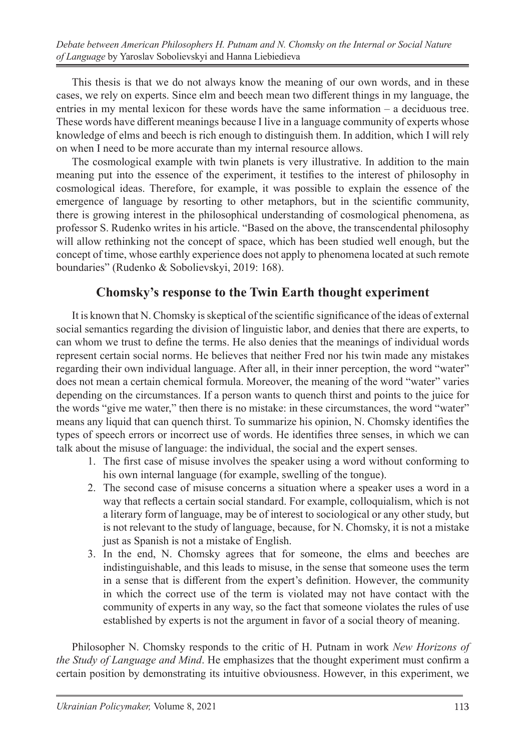This thesis is that we do not always know the meaning of our own words, and in these cases, we rely on experts. Since elm and beech mean two different things in my language, the entries in my mental lexicon for these words have the same information – a deciduous tree. These words have different meanings because I live in a language community of experts whose knowledge of elms and beech is rich enough to distinguish them. In addition, which I will rely on when I need to be more accurate than my internal resource allows.

The cosmological example with twin planets is very illustrative. In addition to the main meaning put into the essence of the experiment, it testifies to the interest of philosophy in cosmological ideas. Therefore, for example, it was possible to explain the essence of the emergence of language by resorting to other metaphors, but in the scientific community, there is growing interest in the philosophical understanding of cosmological phenomena, as professor S. Rudenko writes in his article. "Based on the above, the transcendental philosophy will allow rethinking not the concept of space, which has been studied well enough, but the concept of time, whose earthly experience does not apply to phenomena located at such remote boundaries" (Rudenko & Sobolievskyi, 2019: 168).

# **Chomsky's response to the Twin Earth thought experiment**

It is known that N. Chomsky is skeptical of the scientific significance of the ideas of external social semantics regarding the division of linguistic labor, and denies that there are experts, to can whom we trust to define the terms. He also denies that the meanings of individual words represent certain social norms. He believes that neither Fred nor his twin made any mistakes regarding their own individual language. After all, in their inner perception, the word "water" does not mean a certain chemical formula. Moreover, the meaning of the word "water" varies depending on the circumstances. If a person wants to quench thirst and points to the juice for the words "give me water," then there is no mistake: in these circumstances, the word "water" means any liquid that can quench thirst. To summarize his opinion, N. Chomsky identifies the types of speech errors or incorrect use of words. He identifies three senses, in which we can talk about the misuse of language: the individual, the social and the expert senses.

- 1. The first case of misuse involves the speaker using a word without conforming to his own internal language (for example, swelling of the tongue).
- 2. The second case of misuse concerns a situation where a speaker uses a word in a way that reflects a certain social standard. For example, colloquialism, which is not a literary form of language, may be of interest to sociological or any other study, but is not relevant to the study of language, because, for N. Chomsky, it is not a mistake just as Spanish is not a mistake of English.
- 3. In the end, N. Chomsky agrees that for someone, the elms and beeches are indistinguishable, and this leads to misuse, in the sense that someone uses the term in a sense that is different from the expert's definition. However, the community in which the correct use of the term is violated may not have contact with the community of experts in any way, so the fact that someone violates the rules of use established by experts is not the argument in favor of a social theory of meaning.

Philosopher N. Chomsky responds to the critic of H. Putnam in work *New Horizons of the Study of Language and Mind*. He emphasizes that the thought experiment must confirm a certain position by demonstrating its intuitive obviousness. However, in this experiment, we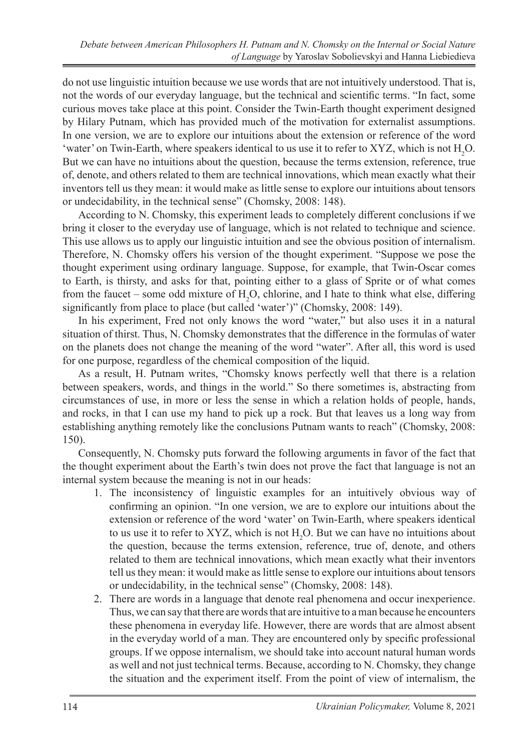do not use linguistic intuition because we use words that are not intuitively understood. That is, not the words of our everyday language, but the technical and scientific terms. "In fact, some curious moves take place at this point. Consider the Twin-Earth thought experiment designed by Hilary Putnam, which has provided much of the motivation for externalist assumptions. In one version, we are to explore our intuitions about the extension or reference of the word 'water' on Twin-Earth, where speakers identical to us use it to refer to XYZ, which is not  $H_2O$ . But we can have no intuitions about the question, because the terms extension, reference, true of, denote, and others related to them are technical innovations, which mean exactly what their inventors tell us they mean: it would make as little sense to explore our intuitions about tensors or undecidability, in the technical sense" (Chomsky, 2008: 148).

According to N. Chomsky, this experiment leads to completely different conclusions if we bring it closer to the everyday use of language, which is not related to technique and science. This use allows us to apply our linguistic intuition and see the obvious position of internalism. Therefore, N. Chomsky offers his version of the thought experiment. "Suppose we pose the thought experiment using ordinary language. Suppose, for example, that Twin-Oscar comes to Earth, is thirsty, and asks for that, pointing either to a glass of Sprite or of what comes from the faucet – some odd mixture of  $H_2O$ , chlorine, and I hate to think what else, differing significantly from place to place (but called 'water')" (Chomsky, 2008: 149).

In his experiment, Fred not only knows the word "water," but also uses it in a natural situation of thirst. Thus, N. Chomsky demonstrates that the difference in the formulas of water on the planets does not change the meaning of the word "water". After all, this word is used for one purpose, regardless of the chemical composition of the liquid.

As a result, H. Putnam writes, "Chomsky knows perfectly well that there is a relation between speakers, words, and things in the world." So there sometimes is, abstracting from circumstances of use, in more or less the sense in which a relation holds of people, hands, and rocks, in that I can use my hand to pick up a rock. But that leaves us a long way from establishing anything remotely like the conclusions Putnam wants to reach" (Chomsky, 2008: 150).

Consequently, N. Chomsky puts forward the following arguments in favor of the fact that the thought experiment about the Earth's twin does not prove the fact that language is not an internal system because the meaning is not in our heads:

- 1. The inconsistency of linguistic examples for an intuitively obvious way of confirming an opinion. "In one version, we are to explore our intuitions about the extension or reference of the word 'water' on Twin-Earth, where speakers identical to us use it to refer to XYZ, which is not  $H_2O$ . But we can have no intuitions about the question, because the terms extension, reference, true of, denote, and others related to them are technical innovations, which mean exactly what their inventors tell us they mean: it would make as little sense to explore our intuitions about tensors or undecidability, in the technical sense" (Chomsky, 2008: 148).
- 2. There are words in a language that denote real phenomena and occur inexperience. Thus, we can say that there are words that are intuitive to a man because he encounters these phenomena in everyday life. However, there are words that are almost absent in the everyday world of a man. They are encountered only by specific professional groups. If we oppose internalism, we should take into account natural human words as well and not just technical terms. Because, according to N. Chomsky, they change the situation and the experiment itself. From the point of view of internalism, the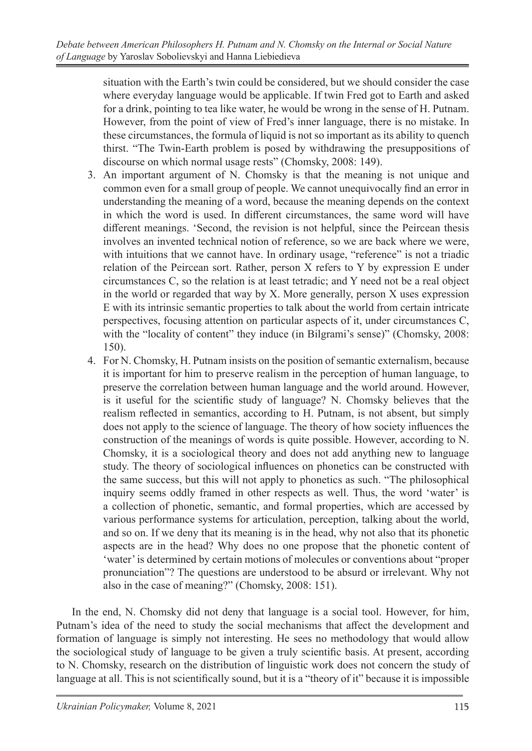situation with the Earth's twin could be considered, but we should consider the case where everyday language would be applicable. If twin Fred got to Earth and asked for a drink, pointing to tea like water, he would be wrong in the sense of H. Putnam. However, from the point of view of Fred's inner language, there is no mistake. In these circumstances, the formula of liquid is not so important as its ability to quench thirst. "The Twin-Earth problem is posed by withdrawing the presuppositions of discourse on which normal usage rests" (Chomsky, 2008: 149).

- 3. An important argument of N. Chomsky is that the meaning is not unique and common even for a small group of people. We cannot unequivocally find an error in understanding the meaning of a word, because the meaning depends on the context in which the word is used. In different circumstances, the same word will have different meanings. 'Second, the revision is not helpful, since the Peircean thesis involves an invented technical notion of reference, so we are back where we were, with intuitions that we cannot have. In ordinary usage, "reference" is not a triadic relation of the Peircean sort. Rather, person X refers to Y by expression E under circumstances C, so the relation is at least tetradic; and Y need not be a real object in the world or regarded that way by X. More generally, person X uses expression E with its intrinsic semantic properties to talk about the world from certain intricate perspectives, focusing attention on particular aspects of it, under circumstances C, with the "locality of content" they induce (in Bilgrami's sense)" (Chomsky, 2008: 150).
- 4. For N. Chomsky, H. Putnam insists on the position of semantic externalism, because it is important for him to preserve realism in the perception of human language, to preserve the correlation between human language and the world around. However, is it useful for the scientific study of language? N. Chomsky believes that the realism reflected in semantics, according to H. Putnam, is not absent, but simply does not apply to the science of language. The theory of how society influences the construction of the meanings of words is quite possible. However, according to N. Chomsky, it is a sociological theory and does not add anything new to language study. The theory of sociological influences on phonetics can be constructed with the same success, but this will not apply to phonetics as such. "The philosophical inquiry seems oddly framed in other respects as well. Thus, the word 'water' is a collection of phonetic, semantic, and formal properties, which are accessed by various performance systems for articulation, perception, talking about the world, and so on. If we deny that its meaning is in the head, why not also that its phonetic aspects are in the head? Why does no one propose that the phonetic content of 'water' is determined by certain motions of molecules or conventions about "proper pronunciation"? The questions are understood to be absurd or irrelevant. Why not also in the case of meaning?" (Chomsky, 2008: 151).

In the end, N. Chomsky did not deny that language is a social tool. However, for him, Putnam's idea of the need to study the social mechanisms that affect the development and formation of language is simply not interesting. He sees no methodology that would allow the sociological study of language to be given a truly scientific basis. At present, according to N. Chomsky, research on the distribution of linguistic work does not concern the study of language at all. This is not scientifically sound, but it is a "theory of it" because it is impossible